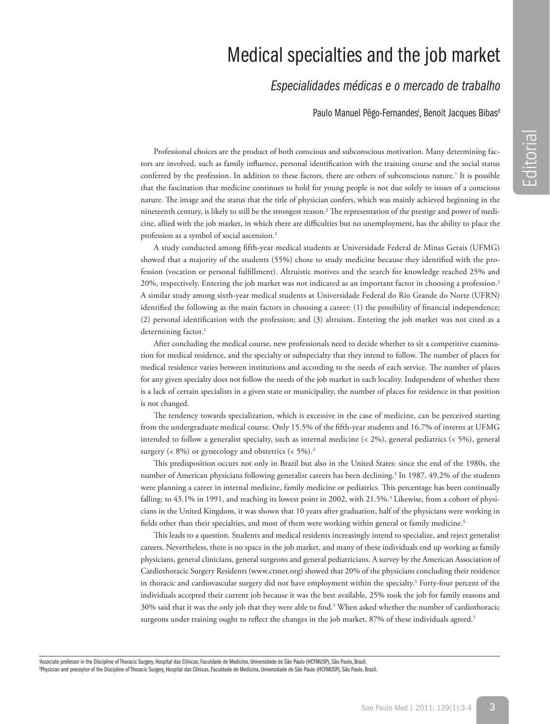## Medical specialties and the job market

## *Especialidades médicas e o mercado de trabalho*

Paulo Manuel Pêgo-Fernandes<sup>1</sup>, Benoit Jacques Bibas<sup>1</sup>

Professional choices are the product of both conscious and subconscious motivation. Many determining factors are involved, such as family influence, personal identification with the training course and the social status conferred by the profession. In addition to these factors, there are others of subconscious nature.<sup>1</sup> It is possible that the fascination that medicine continues to hold for young people is not due solely to issues of a conscious nature. The image and the status that the title of physician confers, which was mainly achieved beginning in the nineteenth century, is likely to still be the strongest reason.<sup>2</sup> The representation of the prestige and power of medicine, allied with the job market, in which there are difficulties but no unemployment, has the ability to place the profession as a symbol of social ascension.2

A study conducted among fifth-year medical students at Universidade Federal de Minas Gerais (UFMG) showed that a majority of the students (55%) chose to study medicine because they identified with the profession (vocation or personal fulfillment). Altruistic motives and the search for knowledge reached 25% and 20%, respectively. Entering the job market was not indicated as an important factor in choosing a profession.2 A similar study among sixth-year medical students at Universidade Federal do Rio Grande do Norte (UFRN) identified the following as the main factors in choosing a career: (1) the possibility of financial independence; (2) personal identification with the profession; and (3) altruism. Entering the job market was not cited as a determining factor.<sup>1</sup>

After concluding the medical course, new professionals need to decide whether to sit a competitive examination for medical residence, and the specialty or subspecialty that they intend to follow. The number of places for medical residence varies between institutions and according to the needs of each service. The number of places for any given specialty does not follow the needs of the job market in each locality. Independent of whether there is a lack of certain specialists in a given state or municipality, the number of places for residence in that position is not changed.

The tendency towards specialization, which is excessive in the case of medicine, can be perceived starting from the undergraduate medical course. Only 15.5% of the fifth-year students and 16.7% of interns at UFMG intended to follow a generalist specialty, such as internal medicine (< 2%), general pediatrics (< 5%), general surgery ( $\lt$  8%) or gynecology and obstetrics ( $\lt$  5%).<sup>2</sup>

This predisposition occurs not only in Brazil but also in the United States: since the end of the 1980s, the number of American physicians following generalist careers has been declining.<sup>3</sup> In 1987, 49.2% of the students were planning a career in internal medicine, family medicine or pediatrics. This percentage has been continually falling: to 43.1% in 1991, and reaching its lowest point in 2002, with 21.5%.<sup>3</sup> Likewise, from a cohort of physicians in the United Kingdom, it was shown that 10 years after graduation, half of the physicians were working in fields other than their specialties, and most of them were working within general or family medicine.<sup>4</sup>

This leads to a question. Students and medical residents increasingly intend to specialize, and reject generalist careers. Nevertheless, there is no space in the job market, and many of these individuals end up working as family physicians, general clinicians, general surgeons and general pediatricians. A survey by the American Association of Cardiothoracic Surgery Residents (www.ctsnet.org) showed that 20% of the physicians concluding their residence in thoracic and cardiovascular surgery did not have employment within the specialty.<sup>5</sup> Forty-four percent of the individuals accepted their current job because it was the best available, 25% took the job for family reasons and 30% said that it was the only job that they were able to find.5 When asked whether the number of cardiothoracic surgeons under training ought to reflect the changes in the job market, 87% of these individuals agreed.<sup>5</sup>

'Associate professor in the Discipline of Thoracic Surgery, Hospital das Clínicas, Faculdade de Medicina, Universidade de São Paulo (HCFMUSP), São Paulo, Brazil. IIPhysician and preceptor of the Discipline of Thoracic Surgery, Hospital das Clínicas, Faculdade de Medicina, Universidade de São Paulo (HCFMUSP), São Paulo, Brazil.